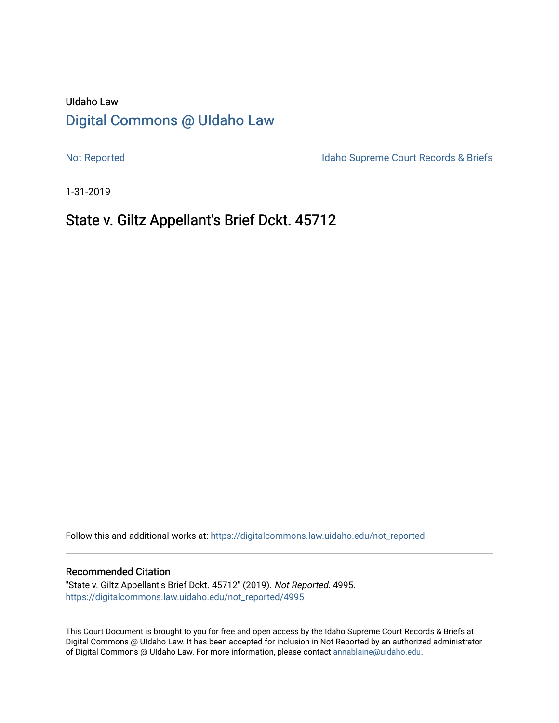# UIdaho Law [Digital Commons @ UIdaho Law](https://digitalcommons.law.uidaho.edu/)

[Not Reported](https://digitalcommons.law.uidaho.edu/not_reported) **Idaho Supreme Court Records & Briefs** 

1-31-2019

# State v. Giltz Appellant's Brief Dckt. 45712

Follow this and additional works at: [https://digitalcommons.law.uidaho.edu/not\\_reported](https://digitalcommons.law.uidaho.edu/not_reported?utm_source=digitalcommons.law.uidaho.edu%2Fnot_reported%2F4995&utm_medium=PDF&utm_campaign=PDFCoverPages) 

#### Recommended Citation

"State v. Giltz Appellant's Brief Dckt. 45712" (2019). Not Reported. 4995. [https://digitalcommons.law.uidaho.edu/not\\_reported/4995](https://digitalcommons.law.uidaho.edu/not_reported/4995?utm_source=digitalcommons.law.uidaho.edu%2Fnot_reported%2F4995&utm_medium=PDF&utm_campaign=PDFCoverPages)

This Court Document is brought to you for free and open access by the Idaho Supreme Court Records & Briefs at Digital Commons @ UIdaho Law. It has been accepted for inclusion in Not Reported by an authorized administrator of Digital Commons @ UIdaho Law. For more information, please contact [annablaine@uidaho.edu](mailto:annablaine@uidaho.edu).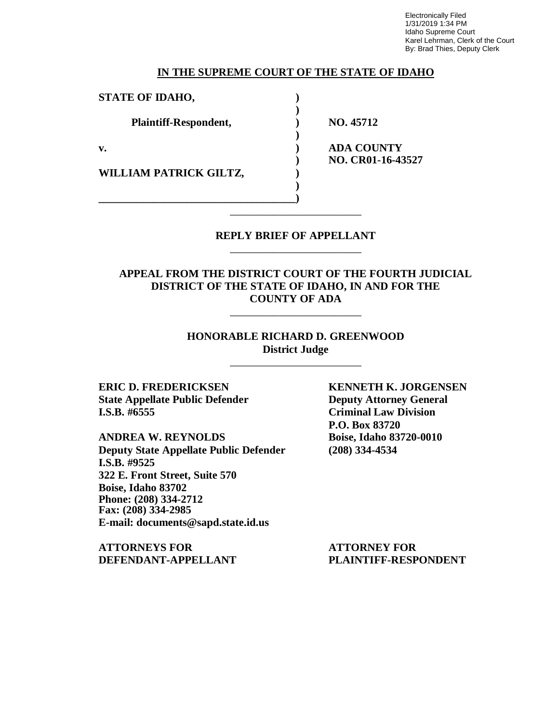Electronically Filed 1/31/2019 1:34 PM Idaho Supreme Court Karel Lehrman, Clerk of the Court By: Brad Thies, Deputy Clerk

#### **IN THE SUPREME COURT OF THE STATE OF IDAHO**

**)**

**)**

**STATE OF IDAHO, )**

**Plaintiff-Respondent, ) NO. 45712**

**WILLIAM PATRICK GILTZ, )**

**\_\_\_\_\_\_\_\_\_\_\_\_\_\_\_\_\_\_\_\_\_\_\_\_\_\_\_\_\_\_\_\_\_\_\_\_)**

**v. ) ADA COUNTY ) NO. CR01-16-43527**

> **REPLY BRIEF OF APPELLANT** \_\_\_\_\_\_\_\_\_\_\_\_\_\_\_\_\_\_\_\_\_\_\_\_

\_\_\_\_\_\_\_\_\_\_\_\_\_\_\_\_\_\_\_\_\_\_\_\_

**)**

# **APPEAL FROM THE DISTRICT COURT OF THE FOURTH JUDICIAL DISTRICT OF THE STATE OF IDAHO, IN AND FOR THE COUNTY OF ADA**

\_\_\_\_\_\_\_\_\_\_\_\_\_\_\_\_\_\_\_\_\_\_\_\_

### **HONORABLE RICHARD D. GREENWOOD District Judge**

\_\_\_\_\_\_\_\_\_\_\_\_\_\_\_\_\_\_\_\_\_\_\_\_

**ERIC D. FREDERICKSEN KENNETH K. JORGENSEN State Appellate Public Defender Deputy Attorney General**<br> **I.S.B.** #6555 **Criminal Law Division** 

**ANDREA W. REYNOLDS Boise, Idaho 83720-0010 Deputy State Appellate Public Defender (208) 334-4534 I.S.B. #9525 322 E. Front Street, Suite 570 Boise, Idaho 83702 Phone: (208) 334-2712 Fax: (208) 334-2985 E-mail: documents@sapd.state.id.us**

**ATTORNEYS FOR ATTORNEY FOR DEFENDANT-APPELLANT PLAINTIFF-RESPONDENT**

**Criminal Law Division P.O. Box 83720**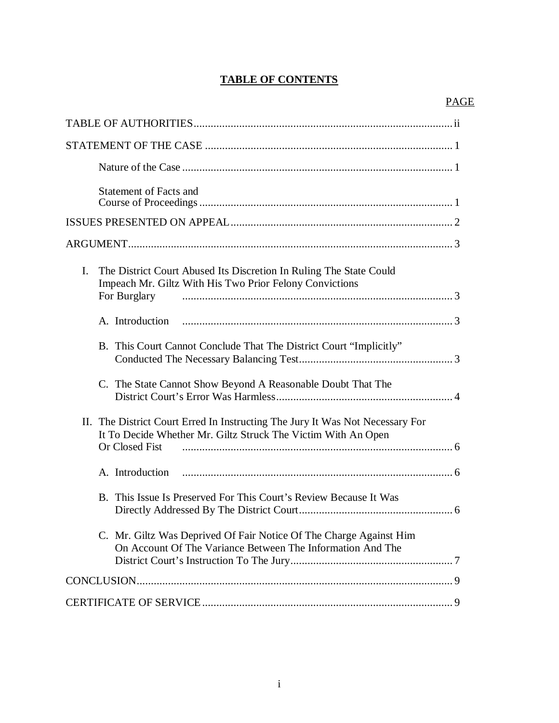# **TABLE OF CONTENTS**

| <b>Statement of Facts and</b>                                                                                                                       |
|-----------------------------------------------------------------------------------------------------------------------------------------------------|
|                                                                                                                                                     |
|                                                                                                                                                     |
| I.<br>The District Court Abused Its Discretion In Ruling The State Could<br>Impeach Mr. Giltz With His Two Prior Felony Convictions<br>For Burglary |
|                                                                                                                                                     |
| B. This Court Cannot Conclude That The District Court "Implicitly"                                                                                  |
| C. The State Cannot Show Beyond A Reasonable Doubt That The                                                                                         |
| II. The District Court Erred In Instructing The Jury It Was Not Necessary For<br>It To Decide Whether Mr. Giltz Struck The Victim With An Open      |
|                                                                                                                                                     |
| B. This Issue Is Preserved For This Court's Review Because It Was                                                                                   |
| C. Mr. Giltz Was Deprived Of Fair Notice Of The Charge Against Him<br>On Account Of The Variance Between The Information And The                    |
|                                                                                                                                                     |
|                                                                                                                                                     |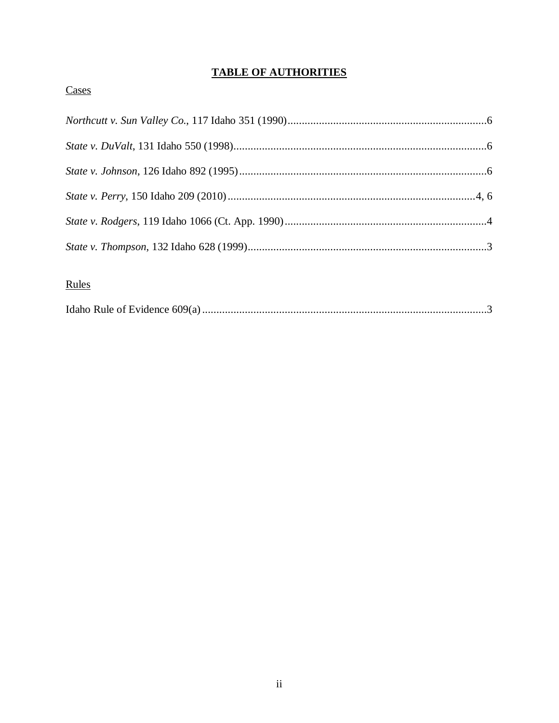# **TABLE OF AUTHORITIES**

# Cases

# Rules

|--|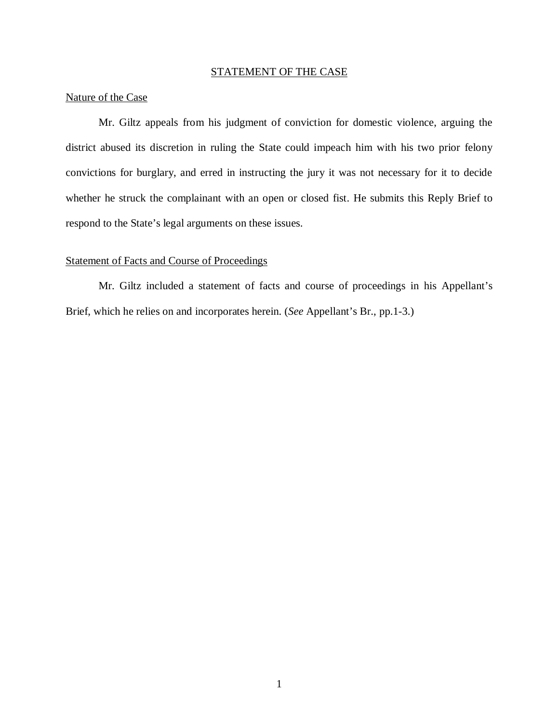# STATEMENT OF THE CASE

# Nature of the Case

Mr. Giltz appeals from his judgment of conviction for domestic violence, arguing the district abused its discretion in ruling the State could impeach him with his two prior felony convictions for burglary, and erred in instructing the jury it was not necessary for it to decide whether he struck the complainant with an open or closed fist. He submits this Reply Brief to respond to the State's legal arguments on these issues.

#### Statement of Facts and Course of Proceedings

Mr. Giltz included a statement of facts and course of proceedings in his Appellant's Brief, which he relies on and incorporates herein. (*See* Appellant's Br., pp.1-3.)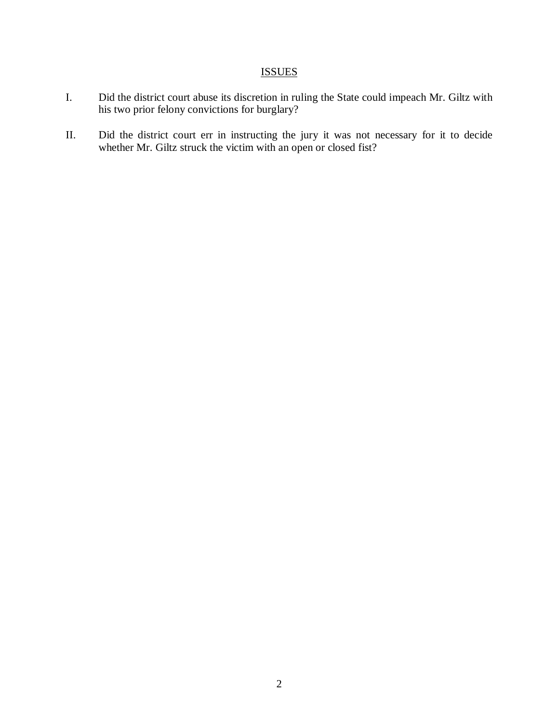# ISSUES

- I. Did the district court abuse its discretion in ruling the State could impeach Mr. Giltz with his two prior felony convictions for burglary?
- II. Did the district court err in instructing the jury it was not necessary for it to decide whether Mr. Giltz struck the victim with an open or closed fist?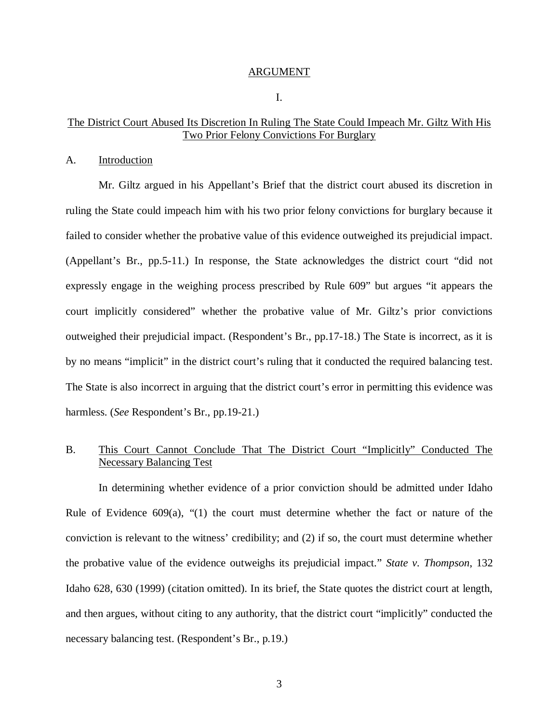#### ARGUMENT

I.

## The District Court Abused Its Discretion In Ruling The State Could Impeach Mr. Giltz With His Two Prior Felony Convictions For Burglary

#### A. Introduction

Mr. Giltz argued in his Appellant's Brief that the district court abused its discretion in ruling the State could impeach him with his two prior felony convictions for burglary because it failed to consider whether the probative value of this evidence outweighed its prejudicial impact. (Appellant's Br., pp.5-11.) In response, the State acknowledges the district court "did not expressly engage in the weighing process prescribed by Rule 609" but argues "it appears the court implicitly considered" whether the probative value of Mr. Giltz's prior convictions outweighed their prejudicial impact. (Respondent's Br., pp.17-18.) The State is incorrect, as it is by no means "implicit" in the district court's ruling that it conducted the required balancing test. The State is also incorrect in arguing that the district court's error in permitting this evidence was harmless. (*See* Respondent's Br., pp.19-21.)

# B. This Court Cannot Conclude That The District Court "Implicitly" Conducted The Necessary Balancing Test

In determining whether evidence of a prior conviction should be admitted under Idaho Rule of Evidence  $609(a)$ , "(1) the court must determine whether the fact or nature of the conviction is relevant to the witness' credibility; and (2) if so, the court must determine whether the probative value of the evidence outweighs its prejudicial impact." *State v. Thompson*, 132 Idaho 628, 630 (1999) (citation omitted). In its brief, the State quotes the district court at length, and then argues, without citing to any authority, that the district court "implicitly" conducted the necessary balancing test. (Respondent's Br., p.19.)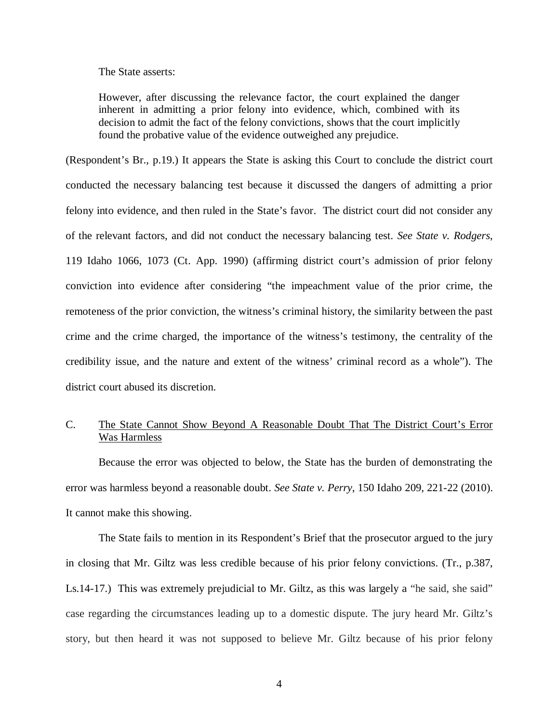#### The State asserts:

However, after discussing the relevance factor, the court explained the danger inherent in admitting a prior felony into evidence, which, combined with its decision to admit the fact of the felony convictions, shows that the court implicitly found the probative value of the evidence outweighed any prejudice.

(Respondent's Br., p.19.) It appears the State is asking this Court to conclude the district court conducted the necessary balancing test because it discussed the dangers of admitting a prior felony into evidence, and then ruled in the State's favor. The district court did not consider any of the relevant factors, and did not conduct the necessary balancing test. *See State v. Rodgers*, 119 Idaho 1066, 1073 (Ct. App. 1990) (affirming district court's admission of prior felony conviction into evidence after considering "the impeachment value of the prior crime, the remoteness of the prior conviction, the witness's criminal history, the similarity between the past crime and the crime charged, the importance of the witness's testimony, the centrality of the credibility issue, and the nature and extent of the witness' criminal record as a whole"). The district court abused its discretion.

## C. The State Cannot Show Beyond A Reasonable Doubt That The District Court's Error Was Harmless

Because the error was objected to below, the State has the burden of demonstrating the error was harmless beyond a reasonable doubt. *See State v. Perry*, 150 Idaho 209, 221-22 (2010). It cannot make this showing.

The State fails to mention in its Respondent's Brief that the prosecutor argued to the jury in closing that Mr. Giltz was less credible because of his prior felony convictions. (Tr., p.387, Ls.14-17.) This was extremely prejudicial to Mr. Giltz, as this was largely a "he said, she said" case regarding the circumstances leading up to a domestic dispute. The jury heard Mr. Giltz's story, but then heard it was not supposed to believe Mr. Giltz because of his prior felony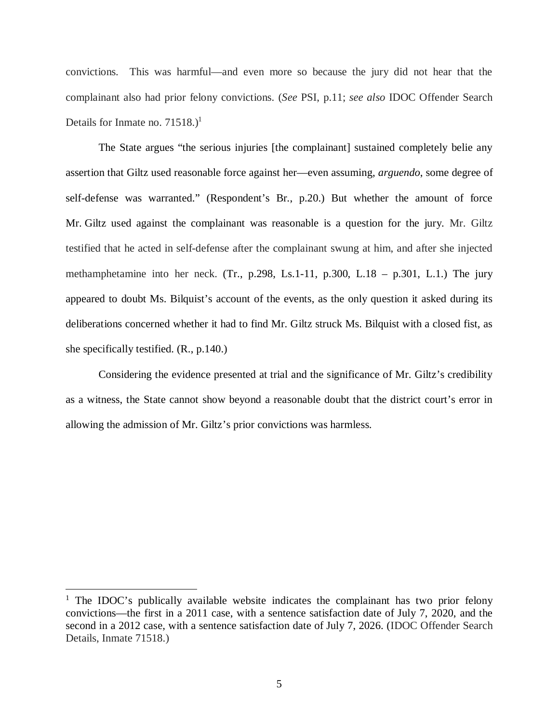convictions. This was harmful—and even more so because the jury did not hear that the complainant also had prior felony convictions. (*See* PSI, p.11; *see also* IDOC Offender Search Details for Inmate no.  $71518.<sup>1</sup>$  $71518.<sup>1</sup>$  $71518.<sup>1</sup>$ 

The State argues "the serious injuries [the complainant] sustained completely belie any assertion that Giltz used reasonable force against her—even assuming, *arguendo*, some degree of self-defense was warranted." (Respondent's Br., p.20.) But whether the amount of force Mr. Giltz used against the complainant was reasonable is a question for the jury. Mr. Giltz testified that he acted in self-defense after the complainant swung at him, and after she injected methamphetamine into her neck. (Tr., p.298, Ls.1-11, p.300, L.18 – p.301, L.1.) The jury appeared to doubt Ms. Bilquist's account of the events, as the only question it asked during its deliberations concerned whether it had to find Mr. Giltz struck Ms. Bilquist with a closed fist, as she specifically testified. (R., p.140.)

Considering the evidence presented at trial and the significance of Mr. Giltz's credibility as a witness, the State cannot show beyond a reasonable doubt that the district court's error in allowing the admission of Mr. Giltz's prior convictions was harmless.

<span id="page-8-0"></span><sup>&</sup>lt;sup>1</sup> The IDOC's publically available website indicates the complainant has two prior felony convictions—the first in a 2011 case, with a sentence satisfaction date of July 7, 2020, and the second in a 2012 case, with a sentence satisfaction date of July 7, 2026. (IDOC Offender Search Details, Inmate 71518.)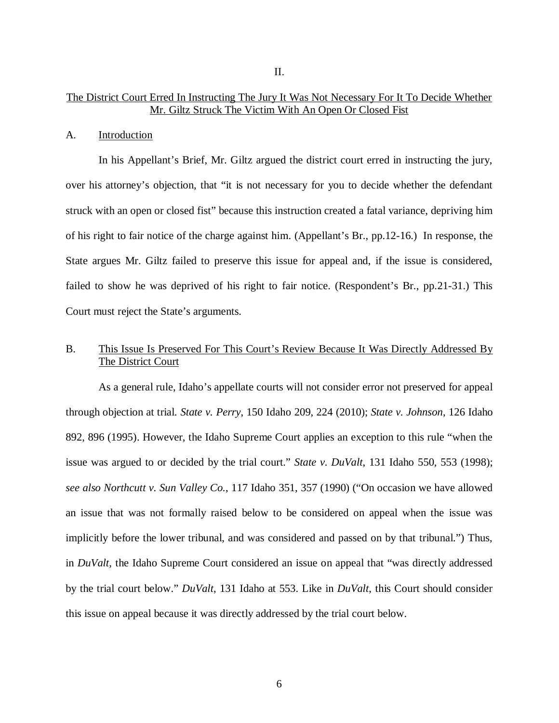## The District Court Erred In Instructing The Jury It Was Not Necessary For It To Decide Whether Mr. Giltz Struck The Victim With An Open Or Closed Fist

#### A. Introduction

In his Appellant's Brief, Mr. Giltz argued the district court erred in instructing the jury, over his attorney's objection, that "it is not necessary for you to decide whether the defendant struck with an open or closed fist" because this instruction created a fatal variance, depriving him of his right to fair notice of the charge against him. (Appellant's Br., pp.12-16.) In response, the State argues Mr. Giltz failed to preserve this issue for appeal and, if the issue is considered, failed to show he was deprived of his right to fair notice. (Respondent's Br., pp.21-31.) This Court must reject the State's arguments.

# B. This Issue Is Preserved For This Court's Review Because It Was Directly Addressed By The District Court

As a general rule, Idaho's appellate courts will not consider error not preserved for appeal through objection at trial. *State v. Perry*, 150 Idaho 209, 224 (2010); *State v. Johnson*, 126 Idaho 892, 896 (1995). However, the Idaho Supreme Court applies an exception to this rule "when the issue was argued to or decided by the trial court." *State v. DuValt*, 131 Idaho 550, 553 (1998); *see also Northcutt v. Sun Valley Co.*, 117 Idaho 351, 357 (1990) ("On occasion we have allowed an issue that was not formally raised below to be considered on appeal when the issue was implicitly before the lower tribunal, and was considered and passed on by that tribunal.") Thus, in *DuValt*, the Idaho Supreme Court considered an issue on appeal that "was directly addressed by the trial court below." *DuValt*, 131 Idaho at 553. Like in *DuValt*, this Court should consider this issue on appeal because it was directly addressed by the trial court below.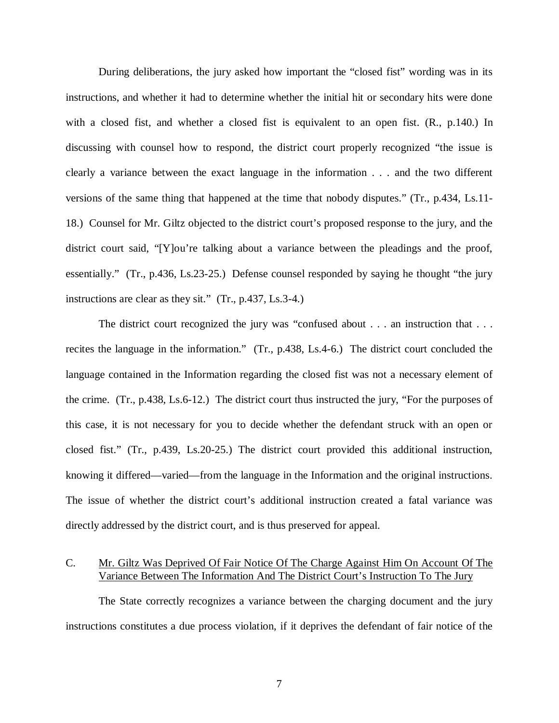During deliberations, the jury asked how important the "closed fist" wording was in its instructions, and whether it had to determine whether the initial hit or secondary hits were done with a closed fist, and whether a closed fist is equivalent to an open fist. (R., p.140.) In discussing with counsel how to respond, the district court properly recognized "the issue is clearly a variance between the exact language in the information . . . and the two different versions of the same thing that happened at the time that nobody disputes." (Tr., p.434, Ls.11- 18.) Counsel for Mr. Giltz objected to the district court's proposed response to the jury, and the district court said, "[Y]ou're talking about a variance between the pleadings and the proof, essentially." (Tr., p.436, Ls.23-25.) Defense counsel responded by saying he thought "the jury instructions are clear as they sit." (Tr., p.437, Ls.3-4.)

The district court recognized the jury was "confused about . . . an instruction that . . . recites the language in the information." (Tr., p.438, Ls.4-6.) The district court concluded the language contained in the Information regarding the closed fist was not a necessary element of the crime. (Tr., p.438, Ls.6-12.) The district court thus instructed the jury, "For the purposes of this case, it is not necessary for you to decide whether the defendant struck with an open or closed fist." (Tr., p.439, Ls.20-25.) The district court provided this additional instruction, knowing it differed—varied—from the language in the Information and the original instructions. The issue of whether the district court's additional instruction created a fatal variance was directly addressed by the district court, and is thus preserved for appeal.

# C. Mr. Giltz Was Deprived Of Fair Notice Of The Charge Against Him On Account Of The Variance Between The Information And The District Court's Instruction To The Jury

The State correctly recognizes a variance between the charging document and the jury instructions constitutes a due process violation, if it deprives the defendant of fair notice of the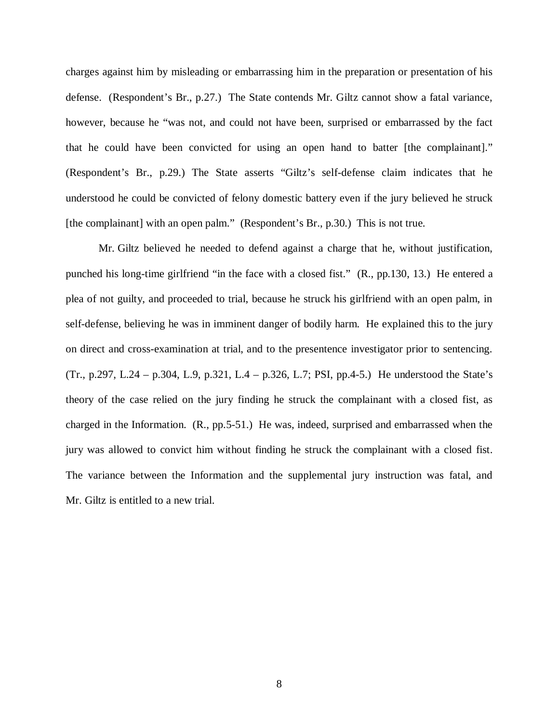charges against him by misleading or embarrassing him in the preparation or presentation of his defense. (Respondent's Br., p.27.) The State contends Mr. Giltz cannot show a fatal variance, however, because he "was not, and could not have been, surprised or embarrassed by the fact that he could have been convicted for using an open hand to batter [the complainant]." (Respondent's Br., p.29.) The State asserts "Giltz's self-defense claim indicates that he understood he could be convicted of felony domestic battery even if the jury believed he struck [the complainant] with an open palm." (Respondent's Br., p.30.) This is not true.

Mr. Giltz believed he needed to defend against a charge that he, without justification, punched his long-time girlfriend "in the face with a closed fist." (R., pp.130, 13.) He entered a plea of not guilty, and proceeded to trial, because he struck his girlfriend with an open palm, in self-defense, believing he was in imminent danger of bodily harm. He explained this to the jury on direct and cross-examination at trial, and to the presentence investigator prior to sentencing. (Tr., p.297, L.24 – p.304, L.9, p.321, L.4 – p.326, L.7; PSI, pp.4-5.) He understood the State's theory of the case relied on the jury finding he struck the complainant with a closed fist, as charged in the Information. (R., pp.5-51.) He was, indeed, surprised and embarrassed when the jury was allowed to convict him without finding he struck the complainant with a closed fist. The variance between the Information and the supplemental jury instruction was fatal, and Mr. Giltz is entitled to a new trial.